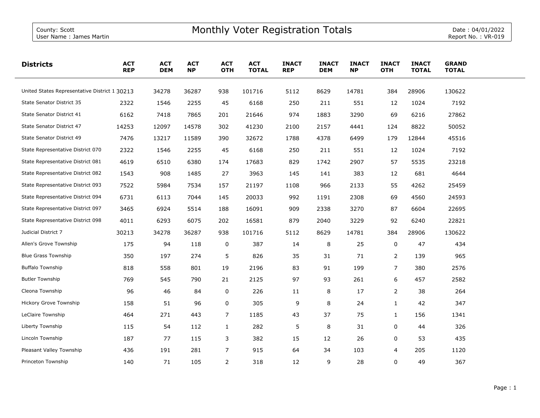| <b>Districts</b>                              | <b>ACT</b><br><b>REP</b> | <b>ACT</b><br><b>DEM</b> | <b>ACT</b><br><b>NP</b> | <b>ACT</b><br><b>OTH</b> | <b>ACT</b><br><b>TOTAL</b> | <b>INACT</b><br><b>REP</b> | <b>INACT</b><br><b>DEM</b> | <b>INACT</b><br><b>NP</b> | <b>INACT</b><br><b>OTH</b> | <b>INACT</b><br><b>TOTAL</b> | <b>GRAND</b><br><b>TOTAL</b> |  |
|-----------------------------------------------|--------------------------|--------------------------|-------------------------|--------------------------|----------------------------|----------------------------|----------------------------|---------------------------|----------------------------|------------------------------|------------------------------|--|
| United States Representative District 1 30213 |                          | 34278                    | 36287                   | 938                      | 101716                     | 5112                       | 8629                       | 14781                     | 384                        | 28906                        | 130622                       |  |
| State Senator District 35                     | 2322                     | 1546                     | 2255                    | 45                       | 6168                       | 250                        | 211                        | 551                       | 12                         | 1024                         | 7192                         |  |
| State Senator District 41                     | 6162                     | 7418                     | 7865                    | 201                      | 21646                      | 974                        | 1883                       | 3290                      | 69                         | 6216                         | 27862                        |  |
| State Senator District 47                     | 14253                    | 12097                    | 14578                   | 302                      | 41230                      | 2100                       | 2157                       | 4441                      | 124                        | 8822                         | 50052                        |  |
| State Senator District 49                     | 7476                     | 13217                    | 11589                   | 390                      | 32672                      | 1788                       | 4378                       | 6499                      | 179                        | 12844                        | 45516                        |  |
| State Representative District 070             | 2322                     | 1546                     | 2255                    | 45                       | 6168                       | 250                        | 211                        | 551                       | 12                         | 1024                         | 7192                         |  |
| State Representative District 081             | 4619                     | 6510                     | 6380                    | 174                      | 17683                      | 829                        | 1742                       | 2907                      | 57                         | 5535                         | 23218                        |  |
| State Representative District 082             | 1543                     | 908                      | 1485                    | 27                       | 3963                       | 145                        | 141                        | 383                       | 12                         | 681                          | 4644                         |  |
| State Representative District 093             | 7522                     | 5984                     | 7534                    | 157                      | 21197                      | 1108                       | 966                        | 2133                      | 55                         | 4262                         | 25459                        |  |
| State Representative District 094             | 6731                     | 6113                     | 7044                    | 145                      | 20033                      | 992                        | 1191                       | 2308                      | 69                         | 4560                         | 24593                        |  |
| State Representative District 097             | 3465                     | 6924                     | 5514                    | 188                      | 16091                      | 909                        | 2338                       | 3270                      | 87                         | 6604                         | 22695                        |  |
| State Representative District 098             | 4011                     | 6293                     | 6075                    | 202                      | 16581                      | 879                        | 2040                       | 3229                      | 92                         | 6240                         | 22821                        |  |
| Judicial District 7                           | 30213                    | 34278                    | 36287                   | 938                      | 101716                     | 5112                       | 8629                       | 14781                     | 384                        | 28906                        | 130622                       |  |
| Allen's Grove Township                        | 175                      | 94                       | 118                     | 0                        | 387                        | 14                         | 8                          | 25                        | $\mathbf 0$                | 47                           | 434                          |  |
| <b>Blue Grass Township</b>                    | 350                      | 197                      | 274                     | 5                        | 826                        | 35                         | 31                         | 71                        | $\overline{2}$             | 139                          | 965                          |  |
| <b>Buffalo Township</b>                       | 818                      | 558                      | 801                     | 19                       | 2196                       | 83                         | 91                         | 199                       | $\overline{7}$             | 380                          | 2576                         |  |
| <b>Butler Township</b>                        | 769                      | 545                      | 790                     | 21                       | 2125                       | 97                         | 93                         | 261                       | 6                          | 457                          | 2582                         |  |
| Cleona Township                               | 96                       | 46                       | 84                      | 0                        | 226                        | 11                         | 8                          | 17                        | $\overline{2}$             | 38                           | 264                          |  |
| Hickory Grove Township                        | 158                      | 51                       | 96                      | 0                        | 305                        | 9                          | 8                          | 24                        | $\mathbf{1}$               | 42                           | 347                          |  |
| LeClaire Township                             | 464                      | 271                      | 443                     | $\overline{7}$           | 1185                       | 43                         | 37                         | 75                        | $\mathbf{1}$               | 156                          | 1341                         |  |
| Liberty Township                              | 115                      | 54                       | 112                     | $\mathbf{1}$             | 282                        | 5                          | 8                          | 31                        | 0                          | 44                           | 326                          |  |
| Lincoln Township                              | 187                      | 77                       | 115                     | 3                        | 382                        | 15                         | 12                         | 26                        | 0                          | 53                           | 435                          |  |
| Pleasant Valley Township                      | 436                      | 191                      | 281                     | $\overline{7}$           | 915                        | 64                         | 34                         | 103                       | 4                          | 205                          | 1120                         |  |
| Princeton Township                            | 140                      | 71                       | 105                     | $\overline{2}$           | 318                        | 12                         | 9                          | 28                        | 0                          | 49                           | 367                          |  |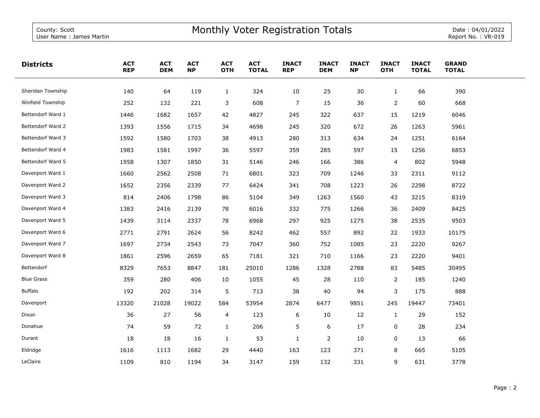| <b>Districts</b>  | <b>ACT</b><br><b>REP</b> | <b>ACT</b><br><b>DEM</b> | <b>ACT</b><br><b>NP</b> | <b>ACT</b><br><b>OTH</b> | <b>ACT</b><br><b>TOTAL</b> | <b>INACT</b><br><b>REP</b> | <b>INACT</b><br><b>DEM</b> | <b>INACT</b><br><b>NP</b> | <b>INACT</b><br><b>OTH</b> | <b>INACT</b><br><b>TOTAL</b> | <b>GRAND</b><br><b>TOTAL</b> |  |
|-------------------|--------------------------|--------------------------|-------------------------|--------------------------|----------------------------|----------------------------|----------------------------|---------------------------|----------------------------|------------------------------|------------------------------|--|
| Sheridan Township | 140                      | 64                       | 119                     | $\mathbf{1}$             | 324                        | 10                         | 25                         | 30                        | $\mathbf{1}$               | 66                           | 390                          |  |
| Winfield Township | 252                      | 132                      | 221                     | 3                        | 608                        | $\overline{7}$             | 15                         | 36                        | $\overline{2}$             | 60                           | 668                          |  |
| Bettendorf Ward 1 | 1446                     | 1682                     | 1657                    | 42                       | 4827                       | 245                        | 322                        | 637                       | 15                         | 1219                         | 6046                         |  |
| Bettendorf Ward 2 | 1393                     | 1556                     | 1715                    | 34                       | 4698                       | 245                        | 320                        | 672                       | 26                         | 1263                         | 5961                         |  |
| Bettendorf Ward 3 | 1592                     | 1580                     | 1703                    | 38                       | 4913                       | 280                        | 313                        | 634                       | 24                         | 1251                         | 6164                         |  |
| Bettendorf Ward 4 | 1983                     | 1581                     | 1997                    | 36                       | 5597                       | 359                        | 285                        | 597                       | 15                         | 1256                         | 6853                         |  |
| Bettendorf Ward 5 | 1958                     | 1307                     | 1850                    | 31                       | 5146                       | 246                        | 166                        | 386                       | $\overline{4}$             | 802                          | 5948                         |  |
| Davenport Ward 1  | 1660                     | 2562                     | 2508                    | 71                       | 6801                       | 323                        | 709                        | 1246                      | 33                         | 2311                         | 9112                         |  |
| Davenport Ward 2  | 1652                     | 2356                     | 2339                    | 77                       | 6424                       | 341                        | 708                        | 1223                      | 26                         | 2298                         | 8722                         |  |
| Davenport Ward 3  | 814                      | 2406                     | 1798                    | 86                       | 5104                       | 349                        | 1263                       | 1560                      | 43                         | 3215                         | 8319                         |  |
| Davenport Ward 4  | 1383                     | 2416                     | 2139                    | 78                       | 6016                       | 332                        | 775                        | 1266                      | 36                         | 2409                         | 8425                         |  |
| Davenport Ward 5  | 1439                     | 3114                     | 2337                    | 78                       | 6968                       | 297                        | 925                        | 1275                      | 38                         | 2535                         | 9503                         |  |
| Davenport Ward 6  | 2771                     | 2791                     | 2624                    | 56                       | 8242                       | 462                        | 557                        | 892                       | 22                         | 1933                         | 10175                        |  |
| Davenport Ward 7  | 1697                     | 2734                     | 2543                    | 73                       | 7047                       | 360                        | 752                        | 1085                      | 23                         | 2220                         | 9267                         |  |
| Davenport Ward 8  | 1861                     | 2596                     | 2659                    | 65                       | 7181                       | 321                        | 710                        | 1166                      | 23                         | 2220                         | 9401                         |  |
| Bettendorf        | 8329                     | 7653                     | 8847                    | 181                      | 25010                      | 1286                       | 1328                       | 2788                      | 83                         | 5485                         | 30495                        |  |
| <b>Blue Grass</b> | 359                      | 280                      | 406                     | 10                       | 1055                       | 45                         | 28                         | 110                       | $\overline{2}$             | 185                          | 1240                         |  |
| Buffalo           | 192                      | 202                      | 314                     | 5                        | 713                        | 38                         | 40                         | 94                        | 3                          | 175                          | 888                          |  |
| Davenport         | 13320                    | 21028                    | 19022                   | 584                      | 53954                      | 2874                       | 6477                       | 9851                      | 245                        | 19447                        | 73401                        |  |
| Dixon             | 36                       | 27                       | 56                      | 4                        | 123                        | 6                          | 10                         | 12                        | $\mathbf{1}$               | 29                           | 152                          |  |
| Donahue           | 74                       | 59                       | 72                      | $\mathbf{1}$             | 206                        | 5                          | 6                          | 17                        | 0                          | 28                           | 234                          |  |
| Durant            | 18                       | 18                       | 16                      | $\mathbf{1}$             | 53                         | $\mathbf{1}$               | $\overline{2}$             | 10                        | 0                          | 13                           | 66                           |  |
| Eldridge          | 1616                     | 1113                     | 1682                    | 29                       | 4440                       | 163                        | 123                        | 371                       | 8                          | 665                          | 5105                         |  |
| LeClaire          | 1109                     | 810                      | 1194                    | 34                       | 3147                       | 159                        | 132                        | 331                       | 9                          | 631                          | 3778                         |  |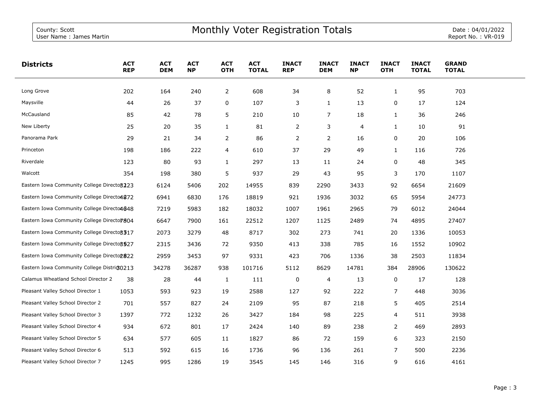| <b>Districts</b>                            | <b>ACT</b><br><b>REP</b> | <b>ACT</b><br><b>DEM</b> | <b>ACT</b><br><b>NP</b> | <b>ACT</b><br><b>OTH</b> | <b>ACT</b><br><b>TOTAL</b> | <b>INACT</b><br><b>REP</b> | <b>INACT</b><br><b>DEM</b> | <b>INACT</b><br><b>NP</b> | <b>INACT</b><br><b>OTH</b> | <b>INACT</b><br><b>TOTAL</b> | <b>GRAND</b><br><b>TOTAL</b> |  |
|---------------------------------------------|--------------------------|--------------------------|-------------------------|--------------------------|----------------------------|----------------------------|----------------------------|---------------------------|----------------------------|------------------------------|------------------------------|--|
| Long Grove                                  | 202                      | 164                      | 240                     | $\overline{2}$           | 608                        | 34                         | 8                          | 52                        | $\mathbf{1}$               | 95                           | 703                          |  |
| Maysville                                   | 44                       | 26                       | 37                      | 0                        | 107                        | 3                          | $\mathbf{1}$               | 13                        | 0                          | 17                           | 124                          |  |
| McCausland                                  | 85                       | 42                       | 78                      | 5                        | 210                        | 10                         | $\overline{7}$             | 18                        | $\mathbf{1}$               | 36                           | 246                          |  |
| New Liberty                                 | 25                       | 20                       | 35                      | $\mathbf{1}$             | 81                         | 2                          | 3                          | 4                         | $\mathbf{1}$               | 10                           | 91                           |  |
| Panorama Park                               | 29                       | 21                       | 34                      | 2                        | 86                         | 2                          | 2                          | 16                        | 0                          | 20                           | 106                          |  |
| Princeton                                   | 198                      | 186                      | 222                     | 4                        | 610                        | 37                         | 29                         | 49                        | $\mathbf{1}$               | 116                          | 726                          |  |
| Riverdale                                   | 123                      | 80                       | 93                      | 1                        | 297                        | 13                         | 11                         | 24                        | 0                          | 48                           | 345                          |  |
| Walcott                                     | 354                      | 198                      | 380                     | 5                        | 937                        | 29                         | 43                         | 95                        | 3                          | 170                          | 1107                         |  |
| Eastern Iowa Community College Directo 3223 |                          | 6124                     | 5406                    | 202                      | 14955                      | 839                        | 2290                       | 3433                      | 92                         | 6654                         | 21609                        |  |
| Eastern Iowa Community College Directo4872  |                          | 6941                     | 6830                    | 176                      | 18819                      | 921                        | 1936                       | 3032                      | 65                         | 5954                         | 24773                        |  |
| Eastern Iowa Community College Directo4648  |                          | 7219                     | 5983                    | 182                      | 18032                      | 1007                       | 1961                       | 2965                      | 79                         | 6012                         | 24044                        |  |
| Eastern Iowa Community College Directo7804  |                          | 6647                     | 7900                    | 161                      | 22512                      | 1207                       | 1125                       | 2489                      | 74                         | 4895                         | 27407                        |  |
| Eastern Iowa Community College Directo 3317 |                          | 2073                     | 3279                    | 48                       | 8717                       | 302                        | 273                        | 741                       | 20                         | 1336                         | 10053                        |  |
| Eastern Iowa Community College Directo 3527 |                          | 2315                     | 3436                    | 72                       | 9350                       | 413                        | 338                        | 785                       | 16                         | 1552                         | 10902                        |  |
| Eastern Iowa Community College Directop822  |                          | 2959                     | 3453                    | 97                       | 9331                       | 423                        | 706                        | 1336                      | 38                         | 2503                         | 11834                        |  |
| Eastern Iowa Community College District0213 |                          | 34278                    | 36287                   | 938                      | 101716                     | 5112                       | 8629                       | 14781                     | 384                        | 28906                        | 130622                       |  |
| Calamus Wheatland School Director 2         | 38                       | 28                       | 44                      | $\mathbf{1}$             | 111                        | 0                          | 4                          | 13                        | $\pmb{0}$                  | 17                           | 128                          |  |
| Pleasant Valley School Director 1           | 1053                     | 593                      | 923                     | 19                       | 2588                       | 127                        | 92                         | 222                       | $\overline{7}$             | 448                          | 3036                         |  |
| Pleasant Valley School Director 2           | 701                      | 557                      | 827                     | 24                       | 2109                       | 95                         | 87                         | 218                       | 5                          | 405                          | 2514                         |  |
| Pleasant Valley School Director 3           | 1397                     | 772                      | 1232                    | 26                       | 3427                       | 184                        | 98                         | 225                       | 4                          | 511                          | 3938                         |  |
| Pleasant Valley School Director 4           | 934                      | 672                      | 801                     | 17                       | 2424                       | 140                        | 89                         | 238                       | $\overline{2}$             | 469                          | 2893                         |  |
| Pleasant Valley School Director 5           | 634                      | 577                      | 605                     | 11                       | 1827                       | 86                         | 72                         | 159                       | 6                          | 323                          | 2150                         |  |
| Pleasant Valley School Director 6           | 513                      | 592                      | 615                     | 16                       | 1736                       | 96                         | 136                        | 261                       | $\overline{7}$             | 500                          | 2236                         |  |
| Pleasant Valley School Director 7           | 1245                     | 995                      | 1286                    | 19                       | 3545                       | 145                        | 146                        | 316                       | 9                          | 616                          | 4161                         |  |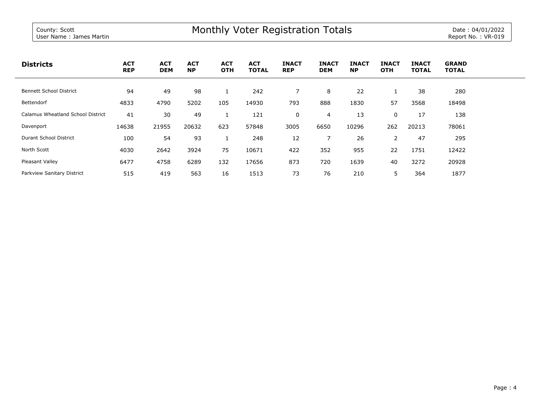| <b>Districts</b>                         | <b>ACT</b><br><b>REP</b> | <b>ACT</b><br><b>DEM</b> | <b>ACT</b><br><b>NP</b> | <b>ACT</b><br><b>OTH</b> | <b>ACT</b><br><b>TOTAL</b> | <b>INACT</b><br><b>REP</b> | <b>INACT</b><br><b>DEM</b> | <b>INACT</b><br><b>NP</b> | <b>INACT</b><br><b>OTH</b> | <b>INACT</b><br><b>TOTAL</b> | <b>GRAND</b><br><b>TOTAL</b> |
|------------------------------------------|--------------------------|--------------------------|-------------------------|--------------------------|----------------------------|----------------------------|----------------------------|---------------------------|----------------------------|------------------------------|------------------------------|
| <b>Bennett School District</b>           | 94                       | 49                       | 98                      |                          | 242                        |                            | 8                          | 22                        |                            | 38                           | 280                          |
| Bettendorf                               | 4833                     | 4790                     | 5202                    | 105                      | 14930                      | 793                        | 888                        | 1830                      | 57                         | 3568                         | 18498                        |
| <b>Calamus Wheatland School District</b> | 41                       | 30                       | 49                      |                          | 121                        | 0                          | $\overline{4}$             | 13                        | 0                          | 17                           | 138                          |
| Davenport                                | 14638                    | 21955                    | 20632                   | 623                      | 57848                      | 3005                       | 6650                       | 10296                     | 262                        | 20213                        | 78061                        |
| Durant School District                   | 100                      | 54                       | 93                      |                          | 248                        | 12                         |                            | 26                        | 2                          | 47                           | 295                          |
| North Scott                              | 4030                     | 2642                     | 3924                    | 75                       | 10671                      | 422                        | 352                        | 955                       | 22                         | 1751                         | 12422                        |
| Pleasant Valley                          | 6477                     | 4758                     | 6289                    | 132                      | 17656                      | 873                        | 720                        | 1639                      | 40                         | 3272                         | 20928                        |
| Parkview Sanitary District               | 515                      | 419                      | 563                     | 16                       | 1513                       | 73                         | 76                         | 210                       | 5                          | 364                          | 1877                         |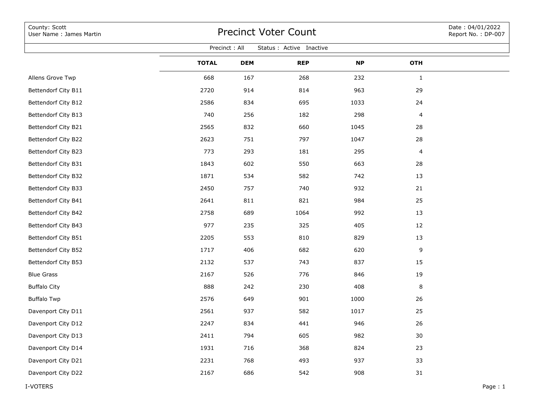| County: Scott<br>User Name: James Martin | Date: 04/01/2022<br>Report No.: DP-007 |               |                          |           |              |         |
|------------------------------------------|----------------------------------------|---------------|--------------------------|-----------|--------------|---------|
|                                          |                                        | Precinct: All | Status : Active Inactive |           |              |         |
|                                          | <b>TOTAL</b>                           | <b>DEM</b>    | <b>REP</b>               | <b>NP</b> | <b>OTH</b>   |         |
| Allens Grove Twp                         | 668                                    | 167           | 268                      | 232       | $\mathbf{1}$ |         |
| Bettendorf City B11                      | 2720                                   | 914           | 814                      | 963       | 29           |         |
| Bettendorf City B12                      | 2586                                   | 834           | 695                      | 1033      | 24           |         |
| Bettendorf City B13                      | 740                                    | 256           | 182                      | 298       | 4            |         |
| Bettendorf City B21                      | 2565                                   | 832           | 660                      | 1045      | 28           |         |
| Bettendorf City B22                      | 2623                                   | 751           | 797                      | 1047      | 28           |         |
| Bettendorf City B23                      | 773                                    | 293           | 181                      | 295       | 4            |         |
| Bettendorf City B31                      | 1843                                   | 602           | 550                      | 663       | 28           |         |
| Bettendorf City B32                      | 1871                                   | 534           | 582                      | 742       | 13           |         |
| Bettendorf City B33                      | 2450                                   | 757           | 740                      | 932       | 21           |         |
| Bettendorf City B41                      | 2641                                   | 811           | 821                      | 984       | 25           |         |
| Bettendorf City B42                      | 2758                                   | 689           | 1064                     | 992       | 13           |         |
| Bettendorf City B43                      | 977                                    | 235           | 325                      | 405       | 12           |         |
| Bettendorf City B51                      | 2205                                   | 553           | 810                      | 829       | 13           |         |
| Bettendorf City B52                      | 1717                                   | 406           | 682                      | 620       | 9            |         |
| Bettendorf City B53                      | 2132                                   | 537           | 743                      | 837       | 15           |         |
| <b>Blue Grass</b>                        | 2167                                   | 526           | 776                      | 846       | 19           |         |
| <b>Buffalo City</b>                      | 888                                    | 242           | 230                      | 408       | 8            |         |
| <b>Buffalo Twp</b>                       | 2576                                   | 649           | 901                      | 1000      | 26           |         |
| Davenport City D11                       | 2561                                   | 937           | 582                      | 1017      | 25           |         |
| Davenport City D12                       | 2247                                   | 834           | 441                      | 946       | 26           |         |
| Davenport City D13                       | 2411                                   | 794           | 605                      | 982       | $30\,$       |         |
| Davenport City D14                       | 1931                                   | 716           | 368                      | 824       | 23           |         |
| Davenport City D21                       | 2231                                   | 768           | 493                      | 937       | 33           |         |
| Davenport City D22                       | 2167                                   | 686           | 542                      | 908       | 31           |         |
| I-VOTERS                                 |                                        |               |                          |           |              | Page: 1 |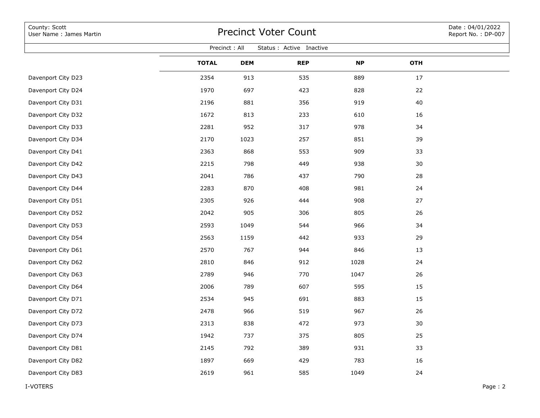| Precinct: All<br>Status : Active Inactive<br><b>TOTAL</b><br><b>OTH</b><br><b>DEM</b><br><b>REP</b><br><b>NP</b><br>889<br>17<br>Davenport City D23<br>2354<br>913<br>535 | Date: 04/01/2022<br>Report No.: DP-007 |
|---------------------------------------------------------------------------------------------------------------------------------------------------------------------------|----------------------------------------|
|                                                                                                                                                                           |                                        |
|                                                                                                                                                                           |                                        |
|                                                                                                                                                                           |                                        |
| 1970<br>423<br>828<br>22<br>Davenport City D24<br>697                                                                                                                     |                                        |
| 2196<br>919<br>40<br>Davenport City D31<br>881<br>356                                                                                                                     |                                        |
| 1672<br>813<br>Davenport City D32<br>233<br>610<br>16                                                                                                                     |                                        |
| 2281<br>952<br>978<br>34<br>Davenport City D33<br>317                                                                                                                     |                                        |
| 2170<br>257<br>851<br>Davenport City D34<br>1023<br>39                                                                                                                    |                                        |
| 2363<br>909<br>Davenport City D41<br>868<br>553<br>33                                                                                                                     |                                        |
| 2215<br>798<br>938<br>30<br>Davenport City D42<br>449                                                                                                                     |                                        |
| 786<br>790<br>Davenport City D43<br>2041<br>437<br>28                                                                                                                     |                                        |
| 2283<br>870<br>981<br>24<br>Davenport City D44<br>408                                                                                                                     |                                        |
| 2305<br>926<br>908<br>27<br>Davenport City D51<br>444                                                                                                                     |                                        |
| 905<br>805<br>26<br>Davenport City D52<br>2042<br>306                                                                                                                     |                                        |
| 2593<br>966<br>34<br>Davenport City D53<br>1049<br>544                                                                                                                    |                                        |
| 933<br>29<br>Davenport City D54<br>2563<br>1159<br>442                                                                                                                    |                                        |
| 2570<br>767<br>846<br>13<br>Davenport City D61<br>944                                                                                                                     |                                        |
| 846<br>912<br>1028<br>24<br>Davenport City D62<br>2810                                                                                                                    |                                        |
| 2789<br>770<br>26<br>Davenport City D63<br>946<br>1047                                                                                                                    |                                        |
| 789<br>607<br>595<br>15<br>Davenport City D64<br>2006                                                                                                                     |                                        |
| 2534<br>945<br>883<br>15<br>Davenport City D71<br>691                                                                                                                     |                                        |
| 966<br>26<br>Davenport City D72<br>2478<br>519<br>967                                                                                                                     |                                        |
| 2313<br>838<br>472<br>973<br>Davenport City D73<br>30                                                                                                                     |                                        |
| 1942<br>737<br>375<br>805<br>Davenport City D74<br>25                                                                                                                     |                                        |
| 931<br>Davenport City D81<br>2145<br>792<br>389<br>33                                                                                                                     |                                        |
| Davenport City D82<br>1897<br>669<br>429<br>783<br>16                                                                                                                     |                                        |
| Davenport City D83<br>2619<br>961<br>1049<br>585<br>24                                                                                                                    |                                        |